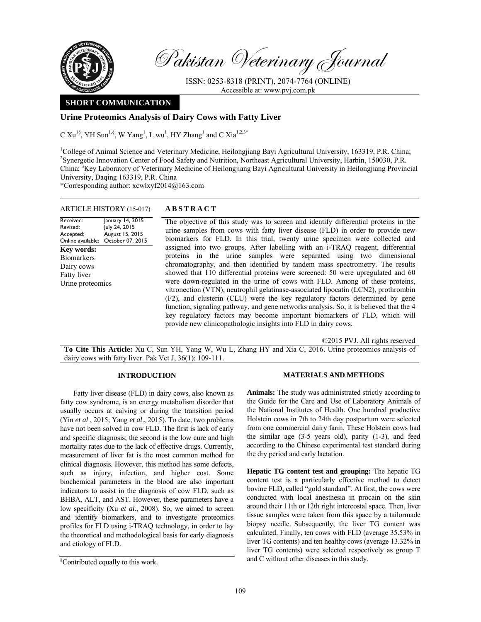

Pakistan Veterinary Journal

ISSN: 0253-8318 (PRINT), 2074-7764 (ONLINE) Accessible at: www.pvj.com.pk

# **SHORT COMMUNICATION**

## **Urine Proteomics Analysis of Dairy Cows with Fatty Liver**

C  $Xu^{1§}$ , YH Sun<sup>1,§</sup>, W Yang<sup>1</sup>, L wu<sup>1</sup>, HY Zhang<sup>1</sup> and C Xia<sup>1,2,3\*</sup>

<sup>1</sup>College of Animal Science and Veterinary Medicine, Heilongjiang Bayi Agricultural University, 163319, P.R. China; <sup>2</sup>Synergetic Innovation Center of Food Safety and Nutrition, Northeast Agricultural University, Harbin, 150030, P.R. China; <sup>3</sup>Key Laboratory of Veterinary Medicine of Heilongjiang Bayi Agricultural University in Heilongjiang Provincial University, Daqing 163319, P.R. China

\*Corresponding author: xcwlxyf2014@163.com

| <b>ARTICLE HISTORY (15-017)</b> |  | <b>ABSTRACT</b> |
|---------------------------------|--|-----------------|
|---------------------------------|--|-----------------|

Received: Revised: Accepted: Online available: January 14, 2015 July 24, 2015 August 15, 2015 October 07, 2015 **Key words:**  Biomarkers Dairy cows Fatty liver Urine proteomics

 The objective of this study was to screen and identify differential proteins in the urine samples from cows with fatty liver disease (FLD) in order to provide new biomarkers for FLD. In this trial, twenty urine specimen were collected and assigned into two groups. After labelling with an i-TRAQ reagent, differential proteins in the urine samples were separated using two dimensional chromatography, and then identified by tandem mass spectrometry. The results showed that 110 differential proteins were screened: 50 were upregulated and 60 were down-regulated in the urine of cows with FLD. Among of these proteins, vitronection (VTN), neutrophil gelatinase-associated lipocatin (LCN2), prothrombin (F2), and clusterin (CLU) were the key regulatory factors determined by gene function, signaling pathway, and gene networks analysis. So, it is believed that the 4 key regulatory factors may become important biomarkers of FLD, which will provide new clinicopathologic insights into FLD in dairy cows.

©2015 PVJ. All rights reserved

**To Cite This Article:** Xu C, Sun YH, Yang W, Wu L, Zhang HY and Xia C, 2016. Urine proteomics analysis of dairy cows with fatty liver. Pak Vet J, 36(1): 109-111.

## **INTRODUCTION**

Fatty liver disease (FLD) in dairy cows, also known as fatty cow syndrome, is an energy metabolism disorder that usually occurs at calving or during the transition period (Yin *et al*., 2015; Yang *et al*., 2015). To date, two problems have not been solved in cow FLD. The first is lack of early and specific diagnosis; the second is the low cure and high mortality rates due to the lack of effective drugs. Currently, measurement of liver fat is the most common method for clinical diagnosis. However, this method has some defects, such as injury, infection, and higher cost. Some biochemical parameters in the blood are also important indicators to assist in the diagnosis of cow FLD, such as BHBA, ALT, and AST. However, these parameters have a low specificity (Xu *et al.*, 2008). So, we aimed to screen and identify biomarkers, and to investigate proteomics profiles for FLD using i-TRAQ technology, in order to lay the theoretical and methodological basis for early diagnosis and etiology of FLD.

## **MATERIALS AND METHODS**

**Animals:** The study was administrated strictly according to the Guide for the Care and Use of Laboratory Animals of the National Institutes of Health. One hundred productive Holstein cows in 7th to 24th day postpartum were selected from one commercial dairy farm. These Holstein cows had the similar age (3-5 years old), parity (1-3), and feed according to the Chinese experimental test standard during the dry period and early lactation.

**Hepatic TG content test and grouping:** The hepatic TG content test is a particularly effective method to detect bovine FLD, called "gold standard". At first, the cows were conducted with local anesthesia in procain on the skin around their 11th or 12th right intercostal space. Then, liver tissue samples were taken from this space by a tailormade biopsy needle. Subsequently, the liver TG content was calculated. Finally, ten cows with FLD (average 35.53% in liver TG contents) and ten healthy cows (average 13.32% in liver TG contents) were selected respectively as group T and C without other diseases in this study.

<sup>§</sup> Contributed equally to this work.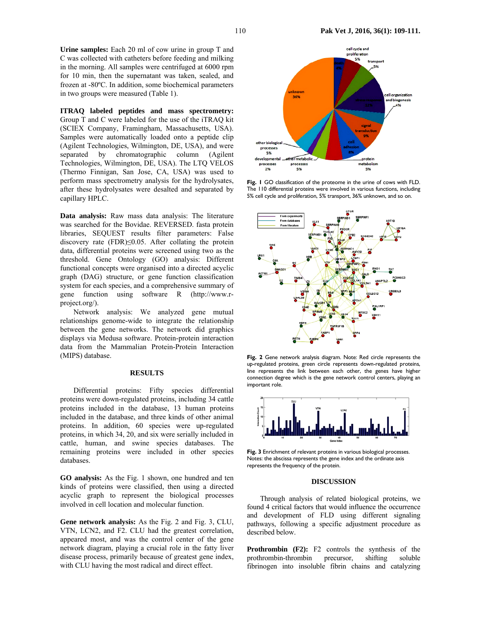**Urine samples:** Each 20 ml of cow urine in group T and C was collected with catheters before feeding and milking

in the morning. All samples were centrifuged at 6000 rpm for 10 min, then the supernatant was taken, sealed, and frozen at -80ºC. In addition, some biochemical parameters in two groups were measured (Table 1).

**ITRAQ labeled peptides and mass spectrometry:**  Group T and C were labeled for the use of the iTRAQ kit (SCIEX Company, Framingham, Massachusetts, USA). Samples were automatically loaded onto a peptide clip (Agilent Technologies, Wilmington, DE, USA), and were separated by chromatographic column (Agilent Technologies, Wilmington, DE, USA). The LTQ VELOS (Thermo Finnigan, San Jose, CA, USA) was used to perform mass spectrometry analysis for the hydrolysates, after these hydrolysates were desalted and separated by capillary HPLC.

**Data analysis:** Raw mass data analysis: The literature was searched for the Bovidae. REVERSED. fasta protein libraries, SEQUEST results filter parameters: False discovery rate (FDR)≤0.05. After collating the protein data, differential proteins were screened using two as the threshold. Gene Ontology (GO) analysis: Different functional concepts were organised into a directed acyclic graph (DAG) structure, or gene function classification system for each species, and a comprehensive summary of gene function using software R (http://www.rproject.org/).

Network analysis: We analyzed gene mutual relationships genome-wide to integrate the relationship between the gene networks. The network did graphics displays via Medusa software. Protein-protein interaction data from the Mammalian Protein-Protein Interaction (MIPS) database.

### **RESULTS**

Differential proteins: Fifty species differential proteins were down-regulated proteins, including 34 cattle proteins included in the database, 13 human proteins included in the database, and three kinds of other animal proteins. In addition, 60 species were up-regulated proteins, in which 34, 20, and six were serially included in cattle, human, and swine species databases. The remaining proteins were included in other species databases.

**GO analysis:** As the Fig. 1 shown, one hundred and ten kinds of proteins were classified, then using a directed acyclic graph to represent the biological processes involved in cell location and molecular function.

**Gene network analysis:** As the Fig. 2 and Fig. 3, CLU, VTN, LCN2, and F2. CLU had the greatest correlation, appeared most, and was the control center of the gene network diagram, playing a crucial role in the fatty liver disease process, primarily because of greatest gene index, with CLU having the most radical and direct effect.



**Fig. 1** GO classification of the proteome in the urine of cows with FLD. The 110 differential proteins were involved in various functions, including 5% cell cycle and proliferation, 5% transport, 36% unknown, and so on.



**Fig. 2** Gene network analysis diagram. Note: Red circle represents the up-regulated proteins, green circle represents down-regulated proteins, line represents the link between each other, the genes have higher connection degree which is the gene network control centers, playing an important role.



**Fig. 3** Enrichment of relevant proteins in various biological processes. Notes: the abscissa represents the gene index and the ordinate axis represents the frequency of the protein.

### **DISCUSSION**

Through analysis of related biological proteins, we found 4 critical factors that would influence the occurrence and development of FLD using different signaling pathways, following a specific adjustment procedure as described below.

**Prothrombin (F2):** F2 controls the synthesis of the prothrombin-thrombin precursor, shifting soluble fibrinogen into insoluble fibrin chains and catalyzing